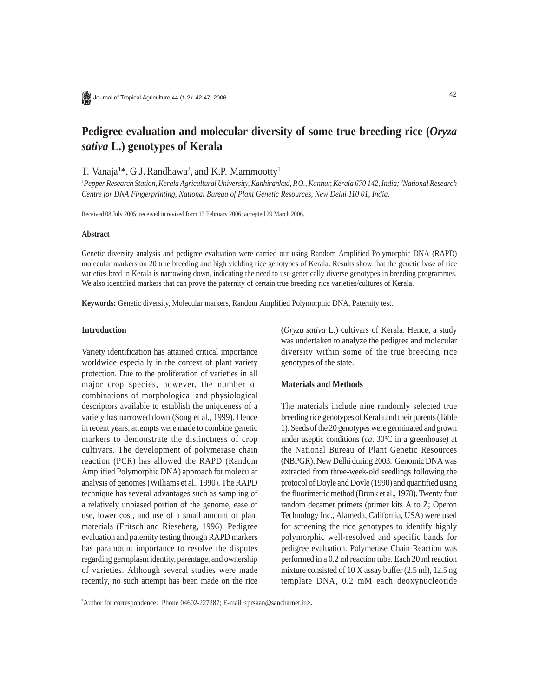Journal of Tropical Agriculture 44 (1-2): 42-47, 2006

# **Pedigree evaluation and molecular diversity of some true breeding rice (***Oryza sativa* **L.) genotypes of Kerala**

T. Vanaja<sup>1\*</sup>, G.J. Randhawa<sup>2</sup>, and K.P. Mammootty<sup>1</sup>

*1 Pepper Research Station, Kerala Agricultural University, Kanhirankad, P.O., Kannur, Kerala 670 142, India; 2 National Research Centre for DNA Fingerprinting, National Bureau of Plant Genetic Resources, New Delhi 110 01, India.*

Received 08 July 2005; received in revised form 13 February 2006; accepted 29 March 2006.

## **Abstract**

Genetic diversity analysis and pedigree evaluation were carried out using Random Amplified Polymorphic DNA (RAPD) molecular markers on 20 true breeding and high yielding rice genotypes of Kerala. Results show that the genetic base of rice varieties bred in Kerala is narrowing down, indicating the need to use genetically diverse genotypes in breeding programmes. We also identified markers that can prove the paternity of certain true breeding rice varieties/cultures of Kerala.

**Keywords:** Genetic diversity, Molecular markers, Random Amplified Polymorphic DNA, Paternity test.

# **Introduction**

Variety identification has attained critical importance worldwide especially in the context of plant variety protection. Due to the proliferation of varieties in all major crop species, however, the number of combinations of morphological and physiological descriptors available to establish the uniqueness of a variety has narrowed down (Song et al., 1999). Hence in recent years, attempts were made to combine genetic markers to demonstrate the distinctness of crop cultivars. The development of polymerase chain reaction (PCR) has allowed the RAPD (Random Amplified Polymorphic DNA) approach for molecular analysis of genomes (Williams et al., 1990). The RAPD technique has several advantages such as sampling of a relatively unbiased portion of the genome, ease of use, lower cost, and use of a small amount of plant materials (Fritsch and Rieseberg, 1996). Pedigree evaluation and paternity testing through RAPD markers has paramount importance to resolve the disputes regarding germplasm identity, parentage, and ownership of varieties. Although several studies were made recently, no such attempt has been made on the rice (*Oryza sativa* L.) cultivars of Kerala. Hence, a study was undertaken to analyze the pedigree and molecular diversity within some of the true breeding rice genotypes of the state.

# **Materials and Methods**

The materials include nine randomly selected true breeding rice genotypes of Kerala and their parents (Table 1). Seeds of the 20 genotypes were germinated and grown under aseptic conditions (*ca*. 30°C in a greenhouse) at the National Bureau of Plant Genetic Resources (NBPGR), New Delhi during 2003. Genomic DNA was extracted from three-week-old seedlings following the protocol of Doyle and Doyle (1990) and quantified using the fluorimetric method (Brunk et al., 1978). Twenty four random decamer primers (primer kits A to Z; Operon Technology Inc., Alameda, California, USA) were used for screening the rice genotypes to identify highly polymorphic well-resolved and specific bands for pedigree evaluation. Polymerase Chain Reaction was performed in a 0.2 ml reaction tube. Each 20 ml reaction mixture consisted of 10 X assay buffer (2.5 ml), 12.5 ng template DNA, 0.2 mM each deoxynucleotide

<sup>\*</sup> Author for correspondence: Phone 04602-227287; E-mail <prskan@sancharnet.in**>.**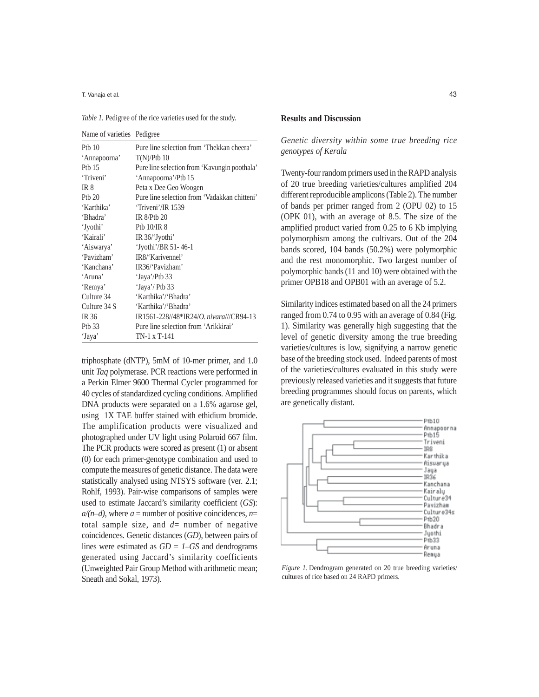T. Vanaja et al.

*Table 1.* Pedigree of the rice varieties used for the study.

| Name of varieties Pedigree |                                                 |
|----------------------------|-------------------------------------------------|
| Ptb $10$                   | Pure line selection from 'Thekkan cheera'       |
| 'Annapoorna'               | $T(N)/P$ tb 10                                  |
| Ptb $15$                   | Pure line selection from 'Kavungin poothala'    |
| 'Triveni'                  | 'Annapoorna'/Ptb 15                             |
| IR <sub>8</sub>            | Peta x Dee Geo Woogen                           |
| Pth $20$                   | Pure line selection from 'Vadakkan chitteni'    |
| 'Karthika'                 | 'Triveni'/IR 1539                               |
| 'Bhadra'                   | $IR_8$ / $Pth_2$                                |
| 'Jyothi'                   | Pth $10$ /IR $8$                                |
| 'Kairali'                  | IR $36$ Jyothi'                                 |
| 'Aiswarya'                 | 'Jyothi'/BR 51-46-1                             |
| 'Pavizham'                 | IR8/'Karivennel'                                |
| 'Kanchana'                 | IR36/'Pavizham'                                 |
| 'Aruna'                    | 'Jaya'/Ptb 33                                   |
| 'Remya'                    | 'Jaya'/ Ptb 33                                  |
| Culture 34                 | 'Karthika'/'Bhadra'                             |
| Culture 34 S               | 'Karthika'/'Bhadra'                             |
| <b>IR 36</b>               | IR1561-228//48*IR24/ <i>O. nivara///CR94-13</i> |
| Ptb 33                     | Pure line selection from 'Arikkirai'            |
| 'Jaya'                     | TN-1 x T-141                                    |

triphosphate (dNTP), 5mM of 10-mer primer, and 1.0 unit *Taq* polymerase. PCR reactions were performed in a Perkin Elmer 9600 Thermal Cycler programmed for 40 cycles of standardized cycling conditions. Amplified DNA products were separated on a 1.6% agarose gel, using 1X TAE buffer stained with ethidium bromide. The amplification products were visualized and photographed under UV light using Polaroid 667 film. The PCR products were scored as present (1) or absent (0) for each primer-genotype combination and used to compute the measures of genetic distance. The data were statistically analysed using NTSYS software (ver. 2.1; Rohlf, 1993). Pair-wise comparisons of samples were used to estimate Jaccard's similarity coefficient (*GS*):  $a/(n-d)$ , where  $a =$  number of positive coincidences,  $n=$ total sample size, and  $d=$  number of negative coincidences. Genetic distances (*GD*), between pairs of lines were estimated as *GD = 1–GS* and dendrograms generated using Jaccard's similarity coefficients (Unweighted Pair Group Method with arithmetic mean; Sneath and Sokal, 1973).

#### **Results and Discussion**

*Genetic diversity within some true breeding rice genotypes of Kerala* 

Twenty-four random primers used in the RAPD analysis of 20 true breeding varieties/cultures amplified 204 different reproducible amplicons (Table 2). The number of bands per primer ranged from 2 (OPU 02) to 15 (OPK 01), with an average of 8.5. The size of the amplified product varied from 0.25 to 6 Kb implying polymorphism among the cultivars. Out of the 204 bands scored, 104 bands (50.2%) were polymorphic and the rest monomorphic. Two largest number of polymorphic bands (11 and 10) were obtained with the primer OPB18 and OPB01 with an average of 5.2.

Similarity indices estimated based on all the 24 primers ranged from 0.74 to 0.95 with an average of 0.84 (Fig. 1). Similarity was generally high suggesting that the level of genetic diversity among the true breeding varieties/cultures is low, signifying a narrow genetic base of the breeding stock used. Indeed parents of most of the varieties/cultures evaluated in this study were previously released varieties and it suggests that future breeding programmes should focus on parents, which are genetically distant.



*Figure 1.* Dendrogram generated on 20 true breeding varieties/ cultures of rice based on 24 RAPD primers.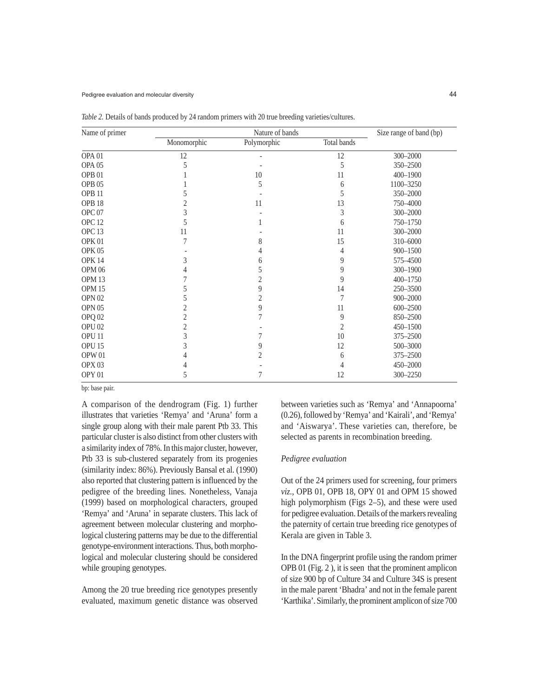| Name of primer    |             | Size range of band (bp) |                |              |
|-------------------|-------------|-------------------------|----------------|--------------|
|                   | Monomorphic | Polymorphic             | Total bands    |              |
| OPA <sub>01</sub> | 12          |                         | 12             | 300-2000     |
| OPA <sub>05</sub> | 5           |                         | 5              | 350-2500     |
| OPB <sub>01</sub> |             | 10                      | 11             | 400-1900     |
| OPB <sub>05</sub> |             | 5                       | 6              | 1100-3250    |
| OPB <sub>11</sub> |             |                         | 5              | 350-2000     |
| OPB <sub>18</sub> |             | 11                      | 13             | 750-4000     |
| OPC <sub>07</sub> | 3           |                         | 3              | 300-2000     |
| OPC <sub>12</sub> | 5           |                         | 6              | 750-1750     |
| OPC <sub>13</sub> | 11          |                         | 11             | 300-2000     |
| OPK <sub>01</sub> |             | 8                       | 15             | 310-6000     |
| <b>OPK 05</b>     |             |                         | 4              | 900-1500     |
| <b>OPK 14</b>     | 3           | 6                       | 9              | 575-4500     |
| OPM <sub>06</sub> |             | 5                       | 9              | 300-1900     |
| OPM <sub>13</sub> |             | 2                       | 9              | $400 - 1750$ |
| OPM <sub>15</sub> |             | 9                       | 14             | 250-3500     |
| OPN <sub>02</sub> |             | 2                       | 7              | 900-2000     |
| OPN <sub>05</sub> |             | 9                       | 11             | $600 - 2500$ |
| OPQ <sub>02</sub> |             |                         | 9              | 850-2500     |
| OPU <sub>02</sub> | 2           |                         | $\overline{c}$ | $450 - 1500$ |
| OPU <sub>11</sub> | 3           |                         | 10             | 375-2500     |
| OPU <sub>15</sub> | 3           | 9                       | 12             | 500-3000     |
| OPW 01            |             | 2                       | 6              | 375-2500     |
| OPX <sub>03</sub> |             |                         | 4              | 450-2000     |
| OPY <sub>01</sub> | 5           | 7                       | 12             | 300-2250     |

*Table 2.* Details of bands produced by 24 random primers with 20 true breeding varieties/cultures.

bp: base pair.

A comparison of the dendrogram (Fig. 1) further illustrates that varieties 'Remya' and 'Aruna' form a single group along with their male parent Ptb 33. This particular cluster is also distinct from other clusters with a similarity index of 78%. In this major cluster, however, Ptb 33 is sub-clustered separately from its progenies (similarity index: 86%). Previously Bansal et al. (1990) also reported that clustering pattern is influenced by the pedigree of the breeding lines. Nonetheless, Vanaja (1999) based on morphological characters, grouped 'Remya' and 'Aruna' in separate clusters. This lack of agreement between molecular clustering and morphological clustering patterns may be due to the differential genotype-environment interactions. Thus, both morphological and molecular clustering should be considered while grouping genotypes.

Among the 20 true breeding rice genotypes presently evaluated, maximum genetic distance was observed between varieties such as 'Remya' and 'Annapoorna' (0.26), followed by 'Remya' and 'Kairali', and 'Remya' and 'Aiswarya'. These varieties can, therefore, be selected as parents in recombination breeding.

## *Pedigree evaluation*

Out of the 24 primers used for screening, four primers *viz.*, OPB 01, OPB 18, OPY 01 and OPM 15 showed high polymorphism (Figs 2–5), and these were used for pedigree evaluation. Details of the markers revealing the paternity of certain true breeding rice genotypes of Kerala are given in Table 3.

In the DNA fingerprint profile using the random primer OPB 01 (Fig. 2 ), it is seen that the prominent amplicon of size 900 bp of Culture 34 and Culture 34S is present in the male parent 'Bhadra' and not in the female parent 'Karthika'. Similarly, the prominent amplicon of size 700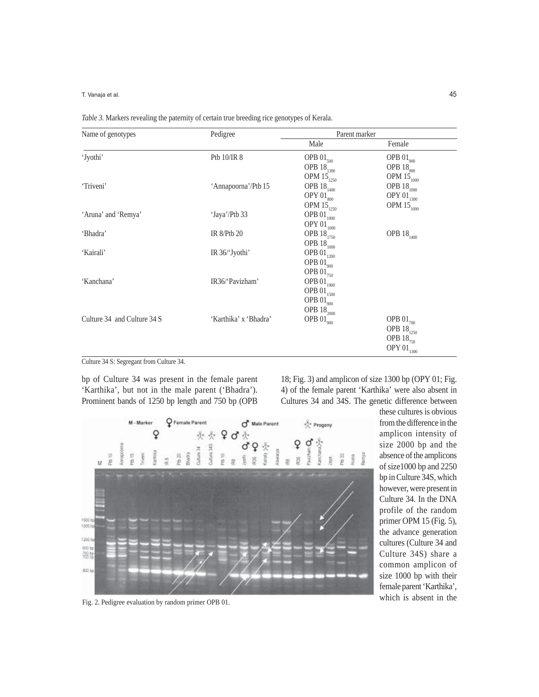T. Vanaja et al.

| Name of genotypes           | Pedigree              | Parent marker                       |                                     |  |
|-----------------------------|-----------------------|-------------------------------------|-------------------------------------|--|
|                             |                       | Male                                | Female                              |  |
| 'Jyothi'                    | Ptb 10/IR 8           | OPB $01_{500}$                      | OPB $01_{900}$                      |  |
|                             |                       | OPB $18_{1300}$                     | OPB $18_{900}$                      |  |
|                             |                       | OPM $15_{1250}$                     | OPM $15_{\scriptstyle{1000}}$       |  |
| 'Triveni'                   | 'Annapoorna'/Ptb 15   | OPB $18_{1400}$                     | OPB $18_{1000}$                     |  |
|                             |                       | OPY $01_{\scriptscriptstyle 800}$   | OPY $01_{1300}$                     |  |
|                             |                       | OPM $15_{1250}$                     | OPM $15_{\scriptscriptstyle{1000}}$ |  |
| 'Aruna' and 'Remya'         | 'Jaya'/Ptb 33         | OPB $01_{\scriptscriptstyle{1000}}$ |                                     |  |
|                             |                       | OPY $01_{\scriptscriptstyle{1000}}$ |                                     |  |
| 'Bhadra'                    | IR 8/Ptb 20           | OPB $18_{\scriptscriptstyle{1750}}$ | OPB $18_{1400}$                     |  |
|                             |                       | OPB $18_{1000}$                     |                                     |  |
| 'Kairali'                   | IR 36/'Jyothi'        | OPB $01_{\scriptscriptstyle{1200}}$ |                                     |  |
|                             |                       | OPB $01_{900}$                      |                                     |  |
|                             |                       | OPB $01_{750}$                      |                                     |  |
| 'Kanchana'                  | IR36/'Pavizham'       | OPB $01_{\scriptscriptstyle{1900}}$ |                                     |  |
|                             |                       | OPB $01_{1500}$                     |                                     |  |
|                             |                       | OPB $01_{900}$                      |                                     |  |
|                             |                       | OPB $18_{2000}$                     |                                     |  |
| Culture 34 and Culture 34 S | 'Karthika' x 'Bhadra' | OPB $01_{\scriptscriptstyle 900}$   | OPB $01_{700}$                      |  |
|                             |                       |                                     | OPB $18_{1250}$                     |  |
|                             |                       |                                     | OPB $18_{750}$                      |  |
|                             |                       |                                     |                                     |  |
|                             |                       |                                     | OPY $01_{\scriptscriptstyle{1300}}$ |  |

|  | Table 3. Markers revealing the paternity of certain true breeding rice genotypes of Kerala. |  |  |  |
|--|---------------------------------------------------------------------------------------------|--|--|--|
|  |                                                                                             |  |  |  |

Culture 34 S: Segregant from Culture 34.

bp of Culture 34 was present in the female parent 'Karthika', but not in the male parent ('Bhadra'). Prominent bands of 1250 bp length and 750 bp (OPB

18; Fig. 3) and amplicon of size 1300 bp (OPY 01; Fig. 4) of the female parent 'Karthika' were also absent in Cultures 34 and 34S. The genetic difference between



Fig. 2. Pedigree evaluation by random primer OPB 01.

these cultures is obvious from the difference in the amplicon intensity of size 2000 bp and the absence of the amplicons of size1000 bp and 2250 bp in Culture 34S, which however, were present in Culture 34. In the DNA profile of the random primer OPM 15 (Fig. 5), the advance generation cultures (Culture 34 and Culture 34S) share a common amplicon of size 1000 bp with their female parent 'Karthika', which is absent in the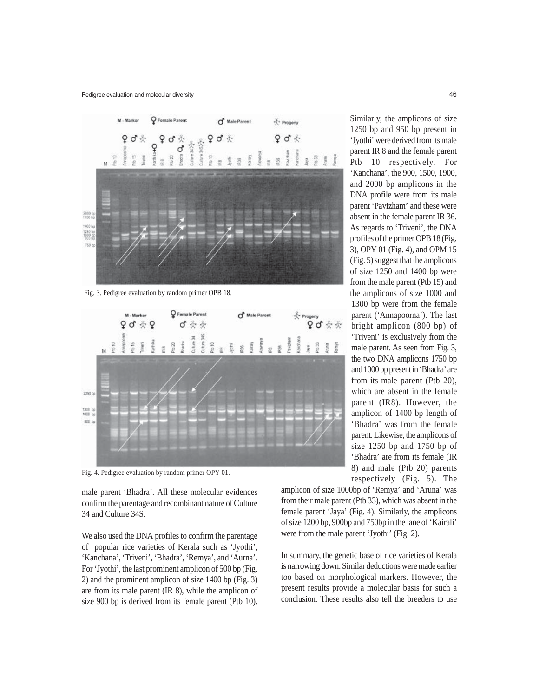

Fig. 3. Pedigree evaluation by random primer OPB 18.



Fig. 4. Pedigree evaluation by random primer OPY 01.

male parent 'Bhadra'. All these molecular evidences confirm the parentage and recombinant nature of Culture 34 and Culture 34S.

We also used the DNA profiles to confirm the parentage of popular rice varieties of Kerala such as 'Jyothi', 'Kanchana', 'Triveni', 'Bhadra', 'Remya', and 'Aurna'. For 'Jyothi', the last prominent amplicon of 500 bp (Fig. 2) and the prominent amplicon of size 1400 bp (Fig. 3) are from its male parent (IR 8), while the amplicon of size 900 bp is derived from its female parent (Ptb 10). Similarly, the amplicons of size 1250 bp and 950 bp present in 'Jyothi' were derived from its male parent IR 8 and the female parent Ptb 10 respectively. For 'Kanchana', the 900, 1500, 1900, and 2000 bp amplicons in the DNA profile were from its male parent 'Pavizham' and these were absent in the female parent IR 36. As regards to 'Triveni', the DNA profiles of the primer OPB 18 (Fig. 3), OPY 01 (Fig. 4), and OPM 15 (Fig. 5) suggest that the amplicons of size 1250 and 1400 bp were from the male parent (Ptb 15) and the amplicons of size 1000 and 1300 bp were from the female parent ('Annapoorna'). The last bright amplicon (800 bp) of 'Triveni' is exclusively from the male parent. As seen from Fig. 3, the two DNA amplicons 1750 bp and 1000 bp present in 'Bhadra' are from its male parent (Ptb 20), which are absent in the female parent (IR8). However, the amplicon of 1400 bp length of 'Bhadra' was from the female parent. Likewise, the amplicons of size 1250 bp and 1750 bp of 'Bhadra' are from its female (IR 8) and male (Ptb 20) parents respectively (Fig. 5). The

amplicon of size 1000bp of 'Remya' and 'Aruna' was from their male parent (Ptb 33), which was absent in the female parent 'Jaya' (Fig. 4). Similarly, the amplicons of size 1200 bp, 900bp and 750bp in the lane of 'Kairali' were from the male parent 'Jyothi' (Fig. 2).

In summary, the genetic base of rice varieties of Kerala is narrowing down. Similar deductions were made earlier too based on morphological markers. However, the present results provide a molecular basis for such a conclusion. These results also tell the breeders to use